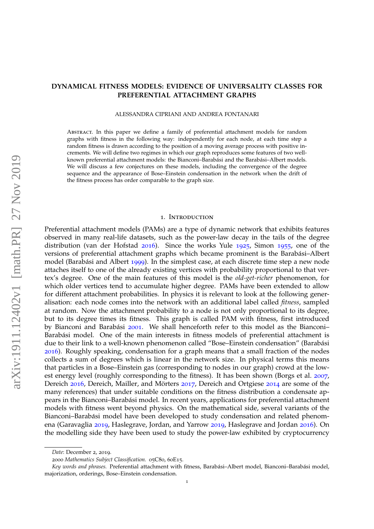# **DYNAMICAL FITNESS MODELS: EVIDENCE OF UNIVERSALITY CLASSES FOR PREFERENTIAL ATTACHMENT GRAPHS**

#### ALESSANDRA CIPRIANI AND ANDREA FONTANARI

Abstract. In this paper we define a family of preferential attachment models for random graphs with fitness in the following way: independently for each node, at each time step a random fitness is drawn according to the position of a moving average process with positive increments. We will define two regimes in which our graph reproduces some features of two wellknown preferential attachment models: the Bianconi-Barabási and the Barabási-Albert models. We will discuss a few conjectures on these models, including the convergence of the degree sequence and the appearance of Bose–Einstein condensation in the network when the drift of the fitness process has order comparable to the graph size.

#### 1. Introduction

Preferential attachment models (PAMs) are a type of dynamic network that exhibits features observed in many real-life datasets, such as the power-law decay in the tails of the degree distribution (van der Hofstad [2016](#page-21-0)). Since the works Yule [1925](#page-21-1), Simon [1955](#page-21-2), one of the versions of preferential attachment graphs which became prominent is the Barabási-Albert model (Barabási and Albert [1999](#page-20-0)). In the simplest case, at each discrete time step a new node attaches itself to one of the already existing vertices with probability proportional to that vertex's degree. One of the main features of this model is the *old-get-richer* phenomenon, for which older vertices tend to accumulate higher degree. PAMs have been extended to allow for different attachment probabilities. In physics it is relevant to look at the following generalisation: each node comes into the network with an additional label called *fitness*, sampled at random. Now the attachment probability to a node is not only proportional to its degree, but to its degree times its fitness. This graph is called PAM with fitness, first introduced by Bianconi and Barabási [2001](#page-20-1). We shall henceforth refer to this model as the Bianconi-Barabási model. One of the main interests in fitness models of preferential attachment is due to their link to a well-known phenomenon called "Bose–Einstein condensation" (Barabasi ´ [2016](#page-20-2)). Roughly speaking, condensation for a graph means that a small fraction of the nodes collects a sum of degrees which is linear in the network size. In physical terms this means that particles in a Bose–Einstein gas (corresponding to nodes in our graph) crowd at the lowest energy level (roughly corresponding to the fitness). It has been shown (Borgs et al. [2007](#page-20-3), Dereich [2016](#page-20-4), Dereich, Mailler, and Mörters [2017](#page-20-5), Dereich and Ortgiese [2014](#page-20-6) are some of the many references) that under suitable conditions on the fitness distribution a condensate appears in the Bianconi–Barabasi model. In recent years, applications for preferential attachment ´ models with fitness went beyond physics. On the mathematical side, several variants of the Bianconi–Barabási model have been developed to study condensation and related phenomena (Garavaglia [2019](#page-20-7), Haslegrave, Jordan, and Yarrow [2019](#page-20-8), Haslegrave and Jordan [2016](#page-20-9)). On the modelling side they have been used to study the power-law exhibited by cryptocurrency

*Date*: December 2, 2019.

<sup>2000</sup> *Mathematics Subject Classification.* 05C80, 60E15.

Key words and phrases. Preferential attachment with fitness, Barabási-Albert model, Bianconi-Barabási model, majorization, orderings, Bose–Einstein condensation.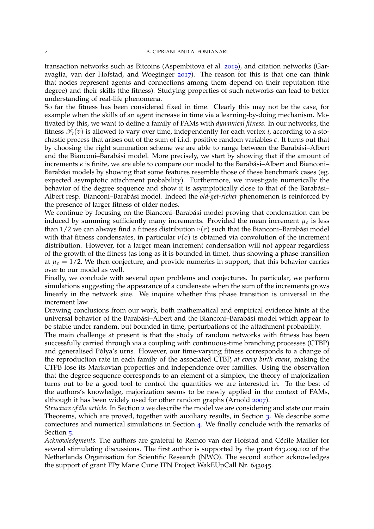transaction networks such as Bitcoins (Aspembitova et al. [2019](#page-20-10)), and citation networks (Garavaglia, van der Hofstad, and Woeginger [2017](#page-20-11)). The reason for this is that one can think that nodes represent agents and connections among them depend on their reputation (the degree) and their skills (the fitness). Studying properties of such networks can lead to better understanding of real-life phenomena.

So far the fitness has been considered fixed in time. Clearly this may not be the case, for example when the skills of an agent increase in time via a learning-by-doing mechanism. Motivated by this, we want to define a family of PAMs with *dynamical fitness*. In our networks, the fitness  $\mathscr{F}_t(v)$  is allowed to vary over time, independently for each vertex *i*, according to a stochastic process that arises out of the sum of i.i.d. positive random variables *e*. It turns out that by choosing the right summation scheme we are able to range between the Barabási–Albert and the Bianconi–Barabási model. More precisely, we start by showing that if the amount of increments  $\epsilon$  is finite, we are able to compare our model to the Barabási–Albert and Bianconi– Barabási models by showing that some features resemble those of these benchmark cases (eg. expected asymptotic attachment probability). Furthermore, we investigate numerically the behavior of the degree sequence and show it is asymptotically close to that of the Barabási-Albert resp. Bianconi–Barabási model. Indeed the *old-get-richer* phenomenon is reinforced by the presence of larger fitness of older nodes.

We continue by focusing on the Bianconi-Barabási model proving that condensation can be induced by summing sufficiently many increments. Provided the mean increment  $\mu_{\epsilon}$  is less than 1/2 we can always find a fitness distribution  $v(\epsilon)$  such that the Bianconi–Barabási model with that fitness condensates, in particular  $v(\epsilon)$  is obtained via convolution of the increment distribution. However, for a larger mean increment condensation will not appear regardless of the growth of the fitness (as long as it is bounded in time), thus showing a phase transition at  $\mu_{\epsilon} = 1/2$ . We then conjecture, and provide numerics in support, that this behavior carries over to our model as well.

Finally, we conclude with several open problems and conjectures. In particular, we perform simulations suggesting the appearance of a condensate when the sum of the increments grows linearly in the network size. We inquire whether this phase transition is universal in the increment law.

Drawing conclusions from our work, both mathematical and empirical evidence hints at the universal behavior of the Barabási–Albert and the Bianconi–Barabási model which appear to be stable under random, but bounded in time, perturbations of the attachment probability.

The main challenge at present is that the study of random networks with fitness has been successfully carried through via a coupling with continuous-time branching processes (CTBP) and generalised Pólya's urns. However, our time-varying fitness corresponds to a change of the reproduction rate in each family of the associated CTBP, *at every birth event*, making the CTPB lose its Markovian properties and independence over families. Using the observation that the degree sequence corresponds to an element of a simplex, the theory of majorization turns out to be a good tool to control the quantities we are interested in. To the best of the authors's knowledge, majorization seems to be newly applied in the context of PAMs, although it has been widely used for other random graphs (Arnold [2007](#page-20-12)).

*Structure of the article.* In Section [2](#page-2-0) we describe the model we are considering and state our main Theorems, which are proved, together with auxiliary results, in Section [3](#page-6-0). We describe some conjectures and numerical simulations in Section [4](#page-12-0). We finally conclude with the remarks of Section [5](#page-19-0).

Acknowledgments. The authors are grateful to Remco van der Hofstad and Cécile Mailler for several stimulating discussions. The first author is supported by the grant 613.009.102 of the Netherlands Organisation for Scientific Research (NWO). The second author acknowledges the support of grant FP7 Marie Curie ITN Project WakEUpCall Nr. 643045.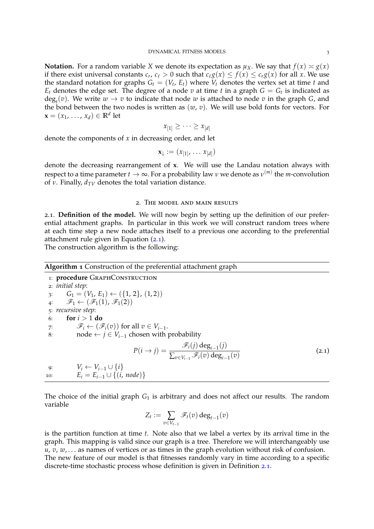**Notation.** For a random variable *X* we denote its expectation as  $\mu_X$ . We say that  $f(x) \approx g(x)$ if there exist universal constants  $c_r$ ,  $c_\ell > 0$  such that  $c_\ell g(x) \leq f(x) \leq c_r g(x)$  for all *x*. We use the standard notation for graphs  $G_t = (V_t, E_t)$  where  $V_t$  denotes the vertex set at time  $t$  and  $E_t$  denotes the edge set. The degree of a node  $v$  at time  $t$  in a graph  $G = G_t$  is indicated as  $deg_t(v)$ . We write  $w \to v$  to indicate that node  $w$  is attached to node  $v$  in the graph *G*, and the bond between the two nodes is written as  $(w, v)$ . We will use bold fonts for vectors. For  $\mathbf{x} = (x_1, \ldots, x_d) \in \mathbb{R}^d$  let

$$
x_{[1]} \geq \cdots \geq x_{[d]}
$$

denote the components of *x* in decreasing order, and let

$$
\mathbf{x}_{\downarrow} := (x_{[1]}, \ldots x_{[d]})
$$

denote the decreasing rearrangement of **x**. We will use the Landau notation always with respect to a time parameter  $t \to \infty$ . For a probability law  $\nu$  we denote as  $\nu^{(m)}$  the  $m$ -convolution of *ν*. Finally,  $d_{TV}$  denotes the total variation distance.

## 2. The model and main results

<span id="page-2-0"></span>2.1. **Definition of the model.** We will now begin by setting up the definition of our preferential attachment graphs. In particular in this work we will construct random trees where at each time step a new node attaches itself to a previous one according to the preferential attachment rule given in Equation ([2](#page-2-1).1).

The construction algorithm is the following:

<span id="page-2-2"></span>

| <b>Algorithm 1</b> Construction of the preferential attachment graph |                                                                                                                   |       |
|----------------------------------------------------------------------|-------------------------------------------------------------------------------------------------------------------|-------|
|                                                                      | 1: procedure GRAPHCONSTRUCTION                                                                                    |       |
|                                                                      | 2: <i>initial</i> step:                                                                                           |       |
|                                                                      | $G_1 = (V_1, E_1) \leftarrow (\{1, 2\}, (1, 2))$                                                                  |       |
|                                                                      | 4: $\mathscr{F}_1 \leftarrow (\mathscr{F}_1(1), \mathscr{F}_1(2))$                                                |       |
|                                                                      | 5: recursive step:                                                                                                |       |
| 6:                                                                   | for $i > 1$ do                                                                                                    |       |
| 7:                                                                   | $\mathscr{F}_i \leftarrow (\mathscr{F}_i(v))$ for all $v \in V_{i-1}$ .                                           |       |
| 8:                                                                   | node $\leftarrow$ $j \in V_{i-1}$ chosen with probability                                                         |       |
|                                                                      | $P(i \rightarrow j) = \frac{\mathscr{F}_i(j) \deg_{i-1}(j)}{\sum_{v \in V_{i-1}} \mathscr{F}_i(v) \deg_{i-1}(v)}$ | (2.1) |
| 9:                                                                   | $V_i \leftarrow V_{i-1} \cup \{i\}$                                                                               |       |
| 10:                                                                  | $E_i = E_{i-1} \cup \{(i, node)\}\$                                                                               |       |

The choice of the initial graph  $G_1$  is arbitrary and does not affect our results. The random variable

<span id="page-2-1"></span>
$$
Z_t := \sum_{v \in V_{t-1}} \mathscr{F}_t(v) \deg_{t-1}(v)
$$

is the partition function at time *t*. Note also that we label a vertex by its arrival time in the graph. This mapping is valid since our graph is a tree. Therefore we will interchangeably use *u*, *v*, *w*, . . . as names of vertices or as times in the graph evolution without risk of confusion. The new feature of our model is that fitnesses randomly vary in time according to a specific discrete-time stochastic process whose definition is given in Definition [2](#page-3-0).1.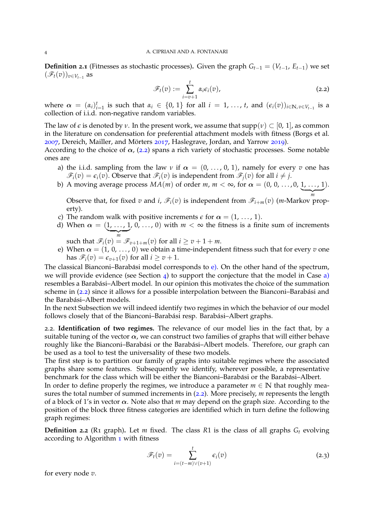<span id="page-3-0"></span>**Definition 2.1** (Fitnesses as stochastic processes). Given the graph  $G_{t-1} = (V_{t-1}, E_{t-1})$  we set  $(\mathscr{F}_t(v))_{v \in V_{t-1}}$  as

<span id="page-3-1"></span>
$$
\mathscr{F}_t(v) := \sum_{i=v+1}^t \alpha_i \epsilon_i(v), \qquad (2.2)
$$

where  $\alpha = (\alpha_i)_{i=1}^t$  is such that  $\alpha_i \in \{0, 1\}$  for all  $i = 1, \ldots, t$ , and  $(\epsilon_i(v))_{i \in \mathbb{N}, v \in V_{t-1}}$  is a collection of i.i.d. non-negative random variables.

The law of  $\epsilon$  is denoted by *ν*. In the present work, we assume that supp(*v*)  $\subset$  [0, 1], as common in the literature on condensation for preferential attachment models with fitness (Borgs et al. [2007](#page-20-3), Dereich, Mailler, and Mörters [2017](#page-20-5), Haslegrave, Jordan, and Yarrow [2019](#page-20-8)).

According to the choice of  $\alpha$ , ([2](#page-3-1).2) spans a rich variety of stochastic processes. Some notable ones are

- <span id="page-3-3"></span>a) the i.i.d. sampling from the law *v* if  $\alpha = (0, \ldots, 0, 1)$ , namely for every *v* one has  $\mathscr{F}_i(v) = \epsilon_i(v)$ . Observe that  $\mathscr{F}_i(v)$  is independent from  $\mathscr{F}_i(v)$  for all  $i \neq j$ .
- <span id="page-3-4"></span>b) A moving average process  $MA(m)$  of order  $m, m < \infty$ , for  $\alpha = (0, 0, \ldots, 0, 1, \ldots, 1)$  $\frac{1}{m}$ ).

Observe that, for fixed *v* and *i*,  $\mathscr{F}_i(v)$  is independent from  $\mathscr{F}_{i+m}(v)$  (*m*-Markov property).

- <span id="page-3-6"></span>c) The random walk with positive increments  $\epsilon$  for  $\alpha = (1, \ldots, 1)$ .
- <span id="page-3-5"></span>d) When  $\alpha = (1, \ldots, 1]$  $\overline{m}$ ,  $0, \ldots, 0$  with  $m < \infty$  the fitness is a finite sum of increments
- such that  $\mathscr{F}_i(v) = \mathscr{F}_{v+1+m}(v)$  for all  $i \ge v+1+m$ .
- <span id="page-3-2"></span>e) When  $\alpha = (1, 0, \ldots, 0)$  we obtain a time-independent fitness such that for every *v* one has  $\mathscr{F}_i(v) = \epsilon_{v+1}(v)$  for all  $i \ge v+1$ .

The classical Bianconi–Barabási model corresponds to  $e$ ). On the other hand of the spectrum, we will provide evidence (see Section  $\phi$ ) to support the conjecture that the model in Case  $\phi$ ) resembles a Barabási–Albert model. In our opinion this motivates the choice of the summation scheme in ([2](#page-3-1).2) since it allows for a possible interpolation between the Bianconi–Barabási and the Barabási-Albert models.

In the next Subsection we will indeed identify two regimes in which the behavior of our model follows closely that of the Bianconi–Barabási resp. Barabási–Albert graphs.

2.2. **Identification of two regimes.** The relevance of our model lies in the fact that, by a suitable tuning of the vector  $\alpha$ , we can construct two families of graphs that will either behave roughly like the Bianconi-Barabási or the Barabási-Albert models. Therefore, our graph can be used as a tool to test the universality of these two models.

The first step is to partition our family of graphs into suitable regimes where the associated graphs share some features. Subsequently we identify, wherever possible, a representative benchmark for the class which will be either the Bianconi–Barabási or the Barabási–Albert.

In order to define properly the regimes, we introduce a parameter  $m \in \mathbb{N}$  that roughly measures the total number of summed increments in ([2](#page-3-1).2). More precisely, *m* represents the length of a block of 1's in vector  $\alpha$ . Note also that *m* may depend on the graph size. According to the position of the block three fitness categories are identified which in turn define the following graph regimes:

**Definition** 2.2 (R1 graph). Let *m* fixed. The class  $R1$  is the class of all graphs  $G_t$  evolving according to Algorithm [1](#page-2-2) with fitness

$$
\mathscr{F}_t(v) = \sum_{i=(t-m)\vee(v+1)}^t \epsilon_i(v) \tag{2.3}
$$

for every node *v*.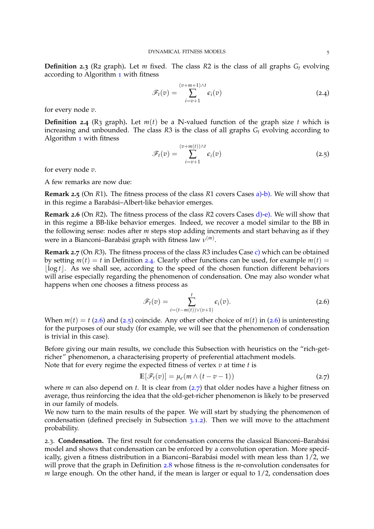**Definition 2.3** (R2 graph). Let *m* fixed. The class *R2* is the class of all graphs  $G_t$  evolving according to Algorithm [1](#page-2-2) with fitness

$$
\mathscr{F}_t(v) = \sum_{i=v+1}^{(v+m+1)\wedge t} \epsilon_i(v) \tag{2.4}
$$

for every node *v*.

<span id="page-4-0"></span>**Definition 2.4** (R3 graph). Let  $m(t)$  be a N-valued function of the graph size *t* which is increasing and unbounded. The class *R*3 is the class of all graphs *G<sup>t</sup>* evolving according to Algorithm [1](#page-2-2) with fitness

<span id="page-4-2"></span>
$$
\mathscr{F}_t(v) = \sum_{i=v+1}^{(v+m(t)) \wedge t} \epsilon_i(v) \tag{2.5}
$$

for every node *v*.

A few remarks are now due:

**Remark 2.5** (On *R*1)**.** The fitness process of the class *R*1 covers Cases [a\)](#page-3-3)[-b\).](#page-3-4) We will show that in this regime a Barabási-Albert-like behavior emerges.

**Remark 2.6** (On *R*2)**.** The fitness process of the class *R*2 covers Cases [d\)](#page-3-5)[-e\).](#page-3-2) We will show that in this regime a BB-like behavior emerges. Indeed, we recover a model similar to the BB in the following sense: nodes after *m* steps stop adding increments and start behaving as if they were in a Bianconi–Barabási graph with fitness law  $ν^{(m)}$ .

**Remark 2.7** (On *R*3)**.** The fitness process of the class *R*3 includes Case [c\)](#page-3-6) which can be obtained by setting  $m(t) = t$  in Definition [2](#page-4-0).4. Clearly other functions can be used, for example  $m(t) =$  $\log t$ . As we shall see, according to the speed of the chosen function different behaviors will arise especially regarding the phenomenon of condensation. One may also wonder what happens when one chooses a fitness process as

<span id="page-4-1"></span>
$$
\mathscr{F}_t(v) = \sum_{i=(t-m(t))\vee(v+1)}^t \epsilon_i(v). \tag{2.6}
$$

When  $m(t) = t$  ([2](#page-4-1).6) and (2.5) coincide. Any other other choice of  $m(t)$  in (2.6) is uninteresting for the purposes of our study (for example, we will see that the phenomenon of condensation is trivial in this case).

Before giving our main results, we conclude this Subsection with heuristics on the "rich-getricher" phenomenon, a characterising property of preferential attachment models. Note that for every regime the expected fitness of vertex *v* at time *t* is

<span id="page-4-3"></span>
$$
\mathbb{E}[\mathscr{F}_t(v)] = \mu_{\epsilon}(m \wedge (t - v - 1)) \tag{2.7}
$$

where *m* can also depend on *t*. It is clear from ([2](#page-4-3).7) that older nodes have a higher fitness on average, thus reinforcing the idea that the old-get-richer phenomenon is likely to be preserved in our family of models.

We now turn to the main results of the paper. We will start by studying the phenomenon of condensation (defined precisely in Subsection [3](#page-7-0).1.2). Then we will move to the attachment probability.

2.3. Condensation. The first result for condensation concerns the classical Bianconi-Barabási model and shows that condensation can be enforced by a convolution operation. More specifically, given a fitness distribution in a Bianconi–Barabási model with mean less than  $1/2$ , we will prove that the graph in Definition [2](#page-5-0).8 whose fitness is the *m*-convolution condensates for *m* large enough. On the other hand, if the mean is larger or equal to 1/2, condensation does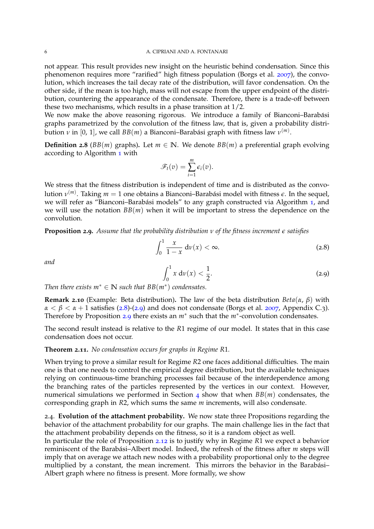not appear. This result provides new insight on the heuristic behind condensation. Since this phenomenon requires more "rarified" high fitness population (Borgs et al. [2007](#page-20-3)), the convolution, which increases the tail decay rate of the distribution, will favor condensation. On the other side, if the mean is too high, mass will not escape from the upper endpoint of the distribution, countering the appearance of the condensate. Therefore, there is a trade-off between these two mechanisms, which results in a phase transition at 1/2.

We now make the above reasoning rigorous. We introduce a family of Bianconi–Barabási graphs parametrized by the convolution of the fitness law, that is, given a probability distribution *ν* in [0, 1], we call *BB*(*m*) a Bianconi–Barabási graph with fitness law  $ν^{(m)}$ .

<span id="page-5-0"></span>**Definition 2.8** ( $BB(m)$  graphs). Let  $m \in \mathbb{N}$ . We denote  $BB(m)$  a preferential graph evolving according to Algorithm [1](#page-2-2) with

$$
\mathscr{F}_t(v)=\sum_{i=1}^m \epsilon_i(v).
$$

We stress that the fitness distribution is independent of time and is distributed as the convolution  $ν^{(m)}$ . Taking  $m=1$  one obtains a Bianconi–Barabási model with fitness  $\epsilon$ . In the sequel, we will refer as "Bianconi-Barabási models" to any graph constructed via Algorithm [1](#page-2-2), and we will use the notation  $BB(m)$  when it will be important to stress the dependence on the convolution.

<span id="page-5-3"></span>**Proposition 2.9.** *Assume that the probability distribution ν of the fitness increment e satisfies*

<span id="page-5-1"></span>
$$
\int_0^1 \frac{x}{1-x} \, \mathrm{d}\nu(x) < \infty. \tag{2.8}
$$

*and*

<span id="page-5-2"></span>
$$
\int_0^1 x \, \mathrm{d}\nu(x) < \frac{1}{2}.\tag{2.9}
$$

*Then there exists*  $m^* \in \mathbb{N}$  *such that*  $BB(m^*)$  *condensates.* 

**Remark 2.10** (Example: Beta distribution)**.** The law of the beta distribution *Beta*(*α*, *β*) with  $\alpha < \beta < \alpha + 1$  satisfies ([2](#page-5-2).8)-(2.9) and does not condensate (Borgs et al. [2007](#page-20-3), Appendix C.3). Therefore by Proposition [2](#page-5-3).9 there exists an *m*<sup>∗</sup> such that the *m*<sup>∗</sup> -convolution condensates.

The second result instead is relative to the *R*1 regime of our model. It states that in this case condensation does not occur.

<span id="page-5-4"></span>**Theorem 2.11.** *No condensation occurs for graphs in Regime R*1*.*

When trying to prove a similar result for Regime *R*2 one faces additional difficulties. The main one is that one needs to control the empirical degree distribution, but the available techniques relying on continuous-time branching processes fail because of the interdependence among the branching rates of the particles represented by the vertices in our context. However, numerical simulations we performed in Section [4](#page-12-0) show that when *BB*(*m*) condensates, the corresponding graph in *R*2, which sums the same *m* increments, will also condensate.

2.4. **Evolution of the attachment probability.** We now state three Propositions regarding the behavior of the attachment probability for our graphs. The main challenge lies in the fact that the attachment probability depends on the fitness, so it is a random object as well.

In particular the role of Proposition 2.[12](#page-6-1) is to justify why in Regime *R*1 we expect a behavior reminiscent of the Barabási–Albert model. Indeed, the refresh of the fitness after *m* steps will imply that on average we attach new nodes with a probability proportional only to the degree multiplied by a constant, the mean increment. This mirrors the behavior in the Barabási-Albert graph where no fitness is present. More formally, we show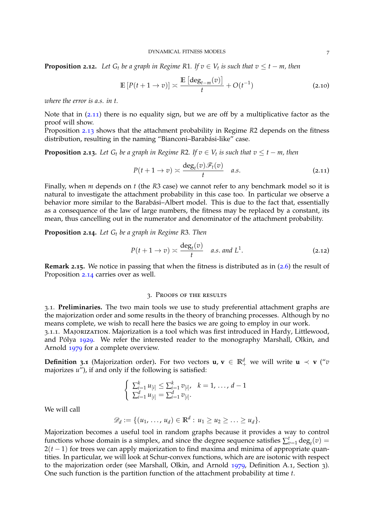<span id="page-6-1"></span>**Proposition 2.12.** Let  $G_t$  be a graph in Regime R1. If  $v \in V_t$  is such that  $v \leq t - m$ , then

$$
\mathbb{E}\left[P(t+1\to v)\right] \asymp \frac{\mathbb{E}\left[\deg_{t-m}(v)\right]}{t} + O(t^{-1})\tag{2.10}
$$

*where the error is a.s. in t.*

Note that in (2.[11](#page-6-2)) there is no equality sign, but we are off by a multiplicative factor as the proof will show.

Proposition 2.[13](#page-6-3) shows that the attachment probability in Regime *R*2 depends on the fitness distribution, resulting in the naming "Bianconi-Barabási-like" case.

<span id="page-6-3"></span>**Proposition 2.13.** Let  $G_t$  be a graph in Regime R2. If  $v \in V_t$  is such that  $v \leq t - m$ , then

<span id="page-6-2"></span>
$$
P(t+1 \to v) \asymp \frac{\deg_t(v)\mathscr{F}_t(v)}{t} \quad a.s.
$$
 (2.11)

Finally, when *m* depends on *t* (the *R*3 case) we cannot refer to any benchmark model so it is natural to investigate the attachment probability in this case too. In particular we observe a behavior more similar to the Barabási-Albert model. This is due to the fact that, essentially as a consequence of the law of large numbers, the fitness may be replaced by a constant, its mean, thus cancelling out in the numerator and denominator of the attachment probability.

<span id="page-6-4"></span>**Proposition 2.14.** *Let G<sup>t</sup> be a graph in Regime R*3*. Then*

$$
P(t+1 \to v) \asymp \frac{\deg_t(v)}{t} \quad a.s. \text{ and } L^1. \tag{2.12}
$$

**Remark 2.15.** We notice in passing that when the fitness is distributed as in ([2](#page-4-1).6) the result of Proposition 2.[14](#page-6-4) carries over as well.

## 3. Proofs of the results

<span id="page-6-0"></span>3.1. **Preliminaries.** The two main tools we use to study preferential attachment graphs are the majorization order and some results in the theory of branching processes. Although by no means complete, we wish to recall here the basics we are going to employ in our work.

3.1.1. Majorization. Majorization is a tool which was first introduced in Hardy, Littlewood, and Pólya [1929](#page-20-13). We refer the interested reader to the monography Marshall, Olkin, and Arnold [1979](#page-20-14) for a complete overview.

**Definition 3.1** (Majorization order). For two vectors  $\mathbf{u}, \mathbf{v} \in \mathbb{R}^d_+$  we will write  $\mathbf{u} \prec \mathbf{v}$  ("*v* majorizes *u*"), if and only if the following is satisfied:

$$
\begin{cases} \sum_{i=1}^{k} u_{[i]} \leq \sum_{i=1}^{k} v_{[i]}, \quad k=1,\ldots,d-1\\ \sum_{i=1}^{d} u_{[i]} = \sum_{i=1}^{d} v_{[i]}.\end{cases}
$$

We will call

 $\mathscr{D}_d := \{ (u_1, \ldots, u_d) \in \mathbb{R}^d : u_1 \geq u_2 \geq \ldots \geq u_d \}.$ 

Majorization becomes a useful tool in random graphs because it provides a way to control functions whose domain is a simplex, and since the degree sequence satisfies  $\sum_{v=1}^{t} \text{deg}_t(v) =$ 2(*t* − 1) for trees we can apply majorization to find maxima and minima of appropriate quantities. In particular, we will look at Schur-convex functions, which are are isotonic with respect to the majorization order (see Marshall, Olkin, and Arnold [1979](#page-20-14), Definition A.1, Section 3). One such function is the partition function of the attachment probability at time *t*.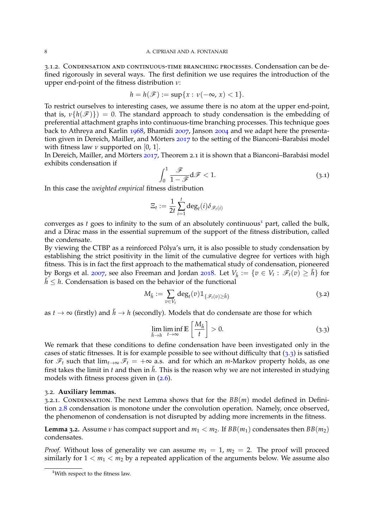## 8 A. CIPRIANI AND A. FONTANARI

<span id="page-7-0"></span>3.1.2. Condensation and continuous-time branching processes. Condensation can be defined rigorously in several ways. The first definition we use requires the introduction of the upper end-point of the fitness distribution *ν*:

$$
h = h(\mathscr{F}) := \sup\{x : \nu(-\infty, x) < 1\}.
$$

To restrict ourselves to interesting cases, we assume there is no atom at the upper end-point, that is,  $\nu\{h(\mathscr{F})\}\) = 0$ . The standard approach to study condensation is the embedding of preferential attachment graphs into continuous-time branching processes. This technique goes back to Athreya and Karlin [1968](#page-20-15), Bhamidi [2007](#page-20-16), Janson [2004](#page-20-17) and we adapt here the presenta-tion given in Dereich, Mailler, and Mörters [2017](#page-20-5) to the setting of the Bianconi–Barabási model with fitness law  $\nu$  supported on [0, 1].

In Dereich, Mailler, and Mörters [2017](#page-20-5), Theorem 2.1 it is shown that a Bianconi–Barabási model exhibits condensation if

<span id="page-7-3"></span>
$$
\int_0^1 \frac{\mathcal{F}}{1 - \mathcal{F}} d\mathcal{F} < 1. \tag{3.1}
$$

In this case the *weighted empirical* fitness distribution

$$
\Xi_t := \frac{1}{2t} \sum_{i=1}^t \deg_t(i) \delta_{\mathscr{F}_t(i)}
$$

converges as  $t$  goes to infinity to the sum of an absolutely continuous<sup>[1](#page-7-1)</sup> part, called the bulk, and a Dirac mass in the essential supremum of the support of the fitness distribution, called the condensate.

By viewing the CTBP as a reinforced Pólya's urn, it is also possible to study condensation by establishing the strict positivity in the limit of the cumulative degree for vertices with high fitness. This is in fact the first approach to the mathematical study of condensation, pioneered by Borgs et al. [2007](#page-20-3), see also Freeman and Jordan [2018](#page-20-18). Let  $V_{\tilde{h}} := \{v \in V_t : \mathscr{F}_t(v) \geq \tilde{h}\}$  for  $h \leq h$ . Condensation is based on the behavior of the functional

$$
M_{\tilde{h}} := \sum_{v \in V_t} \deg_t(v) 1\!\!1_{\{\mathscr{F}_t(v) \ge \tilde{h}\}} \tag{3.2}
$$

as  $t \to \infty$  (firstly) and  $\tilde{h} \to h$  (secondly). Models that do condensate are those for which

<span id="page-7-2"></span>
$$
\lim_{\tilde{h}\to h} \liminf_{t\to\infty} \mathbb{E}\left[\frac{M_{\tilde{h}}}{t}\right] > 0. \tag{3.3}
$$

We remark that these conditions to define condensation have been investigated only in the cases of static fitnesses. It is for example possible to see without difficulty that  $(3.3)$  $(3.3)$  $(3.3)$  is satisfied for  $\mathcal{F}_t$  such that  $\lim_{t\to\infty} \mathcal{F}_t = +\infty$  a.s. and for which an *m*-Markov property holds, as one first takes the limit in *t* and then in  $\tilde{h}$ . This is the reason why we are not interested in studying models with fitness process given in  $(2.6)$  $(2.6)$  $(2.6)$ .

## 3.2. **Auxiliary lemmas.**

3.2.1. Condensation. The next Lemma shows that for the *BB*(*m*) model defined in Definition [2](#page-5-0).8 condensation is monotone under the convolution operation. Namely, once observed, the phenomenon of condensation is not disrupted by adding more increments in the fitness.

**Lemma 3.2.** Assume *ν* has compact support and  $m_1 < m_2$ . If  $BB(m_1)$  condensates then  $BB(m_2)$ condensates.

*Proof.* Without loss of generality we can assume  $m_1 = 1$ ,  $m_2 = 2$ . The proof will proceed similarly for  $1 < m_1 < m_2$  by a repeated application of the arguments below. We assume also

<span id="page-7-1"></span><sup>&</sup>lt;sup>1</sup>With respect to the fitness law.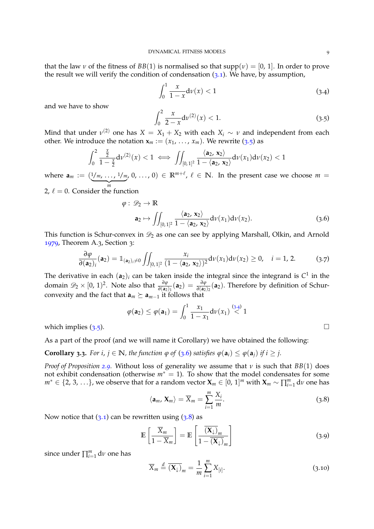that the law *v* of the fitness of  $BB(1)$  is normalised so that  $supp(v) = [0, 1]$ . In order to prove the result we will verify the condition of condensation  $(3.1)$  $(3.1)$  $(3.1)$ . We have, by assumption,

<span id="page-8-1"></span>
$$
\int_0^1 \frac{x}{1-x} \mathrm{d}\nu(x) < 1\tag{3.4}
$$

and we have to show

<span id="page-8-0"></span>
$$
\int_0^2 \frac{x}{2-x} \mathrm{d}v^{(2)}(x) < 1. \tag{3.5}
$$

Mind that under  $v^{(2)}$  one has  $X = X_1 + X_2$  with each  $X_i \sim v$  and independent from each other. We introduce the notation  $\mathbf{x}_m := (x_1, \ldots, x_m)$ . We rewrite ([3](#page-8-0).5) as

$$
\int_0^2 \frac{\frac{x}{2}}{1-\frac{x}{2}} d\nu^{(2)}(x) < 1 \iff \iint_{[0,1]^2} \frac{\langle a_2, x_2 \rangle}{1-\langle a_2, x_2 \rangle} d\nu(x_1) d\nu(x_2) < 1
$$

where  $\mathbf{a}_m := (1/m, \ldots, 1/m)$  $\frac{1}{m}$ 2,  $\ell = 0$ . Consider the function  $(a, 0, \ldots, 0) \in \mathbb{R}^{m+\ell}, \ell \in \mathbb{N}$ . In the present case we choose  $m = 0$ 

$$
\varphi: \mathcal{D}_2 \to \mathbb{R}
$$
  
\n
$$
\mathbf{a}_2 \mapsto \iint_{[0,1]^2} \frac{\langle \mathbf{a}_2, \mathbf{x}_2 \rangle}{1 - \langle \mathbf{a}_2, \mathbf{x}_2 \rangle} d\nu(x_1) d\nu(x_2).
$$
 (3.6)

This function is Schur-convex in  $\mathcal{D}_2$  as one can see by applying Marshall, Olkin, and Arnold [1979](#page-20-14), Theorem A.3, Section 3:

<span id="page-8-4"></span>
$$
\frac{\partial \varphi}{\partial(\mathbf{a}_2)_i}(\mathbf{a}_2) = \mathbb{1}_{(\mathbf{a}_2)_i \neq 0} \iint_{[0,1]^2} \frac{x_i}{(1 - \langle \mathbf{a}_2, \mathbf{x}_2 \rangle)^2} d\nu(x_1) d\nu(x_2) \ge 0, \quad i = 1, 2. \tag{3.7}
$$

The derivative in each  $(a_2)_i$  can be taken inside the integral since the integrand is  $C^1$  in the domain  $\mathscr{D}_2 \times [0, 1)^2$ . Note also that  $\frac{\partial \varphi}{\partial (a_2)_1} (a_2) = \frac{\partial \varphi}{\partial (a_2)_2} (a_2)$ . Therefore by definition of Schurconvexity and the fact that  $\mathbf{a}_m \succeq \mathbf{a}_{m-1}$  it follows that

$$
\varphi(\mathbf{a}_2) \leq \varphi(\mathbf{a}_1) = \int_0^1 \frac{x_1}{1 - x_1} d\nu(x_1) \stackrel{(3,4)}{<} 1
$$

which implies  $(3.5)$  $(3.5)$  $(3.5)$ .

As a part of the proof (and we will name it Corollary) we have obtained the following:

**Corollary [3](#page-8-2).3.** For i,  $j \in \mathbb{N}$ , the function  $\varphi$  of (3.6) satisfies  $\varphi(\mathbf{a}_i) \leq \varphi(\mathbf{a}_i)$  if  $i \geq j$ .

*Proof of Proposition [2](#page-5-3).9.* Without loss of generality we assume that *ν* is such that *BB*(1) does not exhibit condensation (otherwise *m*<sup>∗</sup> = 1). To show that the model condensates for some  $m^* \in \{2, 3, \ldots\}$ , we observe that for a random vector  $\mathbf{X}_m \in [0, 1]^m$  with  $\mathbf{X}_m \sim \prod_{i=1}^m \mathrm{d} \nu$  one has

<span id="page-8-3"></span>
$$
\langle \mathbf{a}_m, \mathbf{X}_m \rangle = \overline{X}_m = \sum_{i=1}^m \frac{X_i}{m}.
$$
 (3.8)

Now notice that  $(3.1)$  $(3.1)$  $(3.1)$  can be rewritten using  $(3.8)$  as

<span id="page-8-5"></span>
$$
\mathbb{E}\left[\frac{\overline{X}_m}{1-\overline{X}_m}\right] = \mathbb{E}\left[\frac{\overline{(X_\downarrow)}_m}{1-\overline{(X_\downarrow)}_m}\right]
$$
(3.9)

since under ∏ *m <sup>i</sup>*=<sup>1</sup> d*ν* one has

<span id="page-8-6"></span>
$$
\overline{X}_m \stackrel{d}{=} \overline{(\mathbf{X}_{\downarrow})}_m = \frac{1}{m} \sum_{i=1}^m X_{[i]}.
$$
 (3.10)

<span id="page-8-2"></span>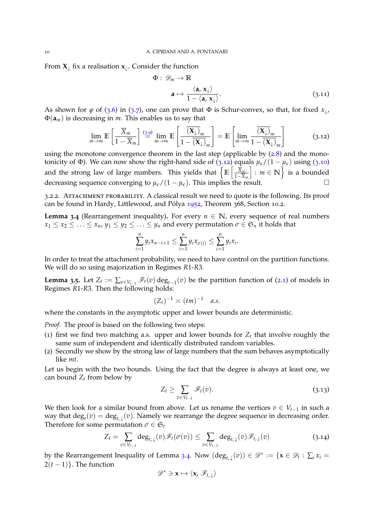From  $X_{\perp}$  fix a realisation  $x_{\perp}$ . Consider the function

$$
\Phi: \mathscr{D}_m \to \mathbb{R}
$$

$$
\mathbf{a} \mapsto \frac{\langle \mathbf{a}, \mathbf{x}_{\downarrow} \rangle}{1 - \langle \mathbf{a}, \mathbf{x}_{\downarrow} \rangle}.
$$
(3.11)

As shown for  $\varphi$  of ([3](#page-8-4).6) in (3.7), one can prove that  $\Phi$  is Schur-convex, so that, for fixed  $x_{\downarrow}$ , Φ(**a***m*) is decreasing in *m*. This enables us to say that

<span id="page-9-0"></span>
$$
\lim_{m \to \infty} \mathbb{E}\left[\frac{\overline{X}_m}{1 - \overline{X}_m}\right] \stackrel{(3.9)}{=} \lim_{m \to \infty} \mathbb{E}\left[\frac{\overline{(X_\downarrow)}_m}{1 - \overline{(X_\downarrow)}_m}\right] = \mathbb{E}\left[\lim_{m \to \infty} \frac{\overline{(X_\downarrow)}_m}{1 - \overline{(X_\downarrow)}_m}\right] \tag{3.12}
$$

using the monotone convergence theorem in the last step (applicable by  $(2.8)$  $(2.8)$  $(2.8)$  and the mono-tonicity of Φ). We can now show the right-hand side of (3.[12](#page-9-0)) equals  $\mu_{\epsilon}/(1 - \mu_{\epsilon})$  using (3.[10](#page-8-6)) and the strong law of large numbers. This yields that  $\left\{\mathbb{E}\left[\frac{\overline{X}_m}{1-\overline{X}_m}\right]\right\}$ 1−*X<sup>m</sup>*  $\bigg| : m \in \mathbb{N} \bigg\}$  is a bounded decreasing sequence converging to  $\mu_{\epsilon}/(1 - \mu_{\epsilon})$ . This implies the result. □

3.2.2. Attachment probability. A classical result we need to quote is the following. Its proof can be found in Hardy, Littlewood, and Pólya  $1952$ , Theorem 368, Section 10.2.

<span id="page-9-1"></span>**Lemma 3.4** (Rearrangement inequality). For every  $n \in \mathbb{N}$ , every sequence of real numbers  $x_1 \leq x_2 \leq \ldots \leq x_n$ ,  $y_1 \leq y_2 \leq \ldots \leq y_n$  and every permutation  $\sigma \in \mathfrak{S}_n$  it holds that

$$
\sum_{i=1}^n y_i x_{n-i+1} \leq \sum_{i=1}^n y_i x_{\sigma(i)} \leq \sum_{i=1}^n y_i x_i.
$$

In order to treat the attachment probability, we need to have control on the partition functions. We will do so using majorization in Regimes *R*1-*R*3.

<span id="page-9-4"></span>**Lemma 3.5.** Let  $Z_t := \sum_{v \in V_{t-1}} \mathcal{F}_t(v) \deg_{t-1}(v)$  be the partition function of ([2](#page-2-1).1) of models in Regimes *R*1-*R*3. Then the following holds:

$$
(Z_t)^{-1} \asymp (tm)^{-1} \quad a.s.
$$

where the constants in the asymptotic upper and lower bounds are deterministic.

*Proof.* The proof is based on the following two steps:

- (1) first we find two matching a.s. upper and lower bounds for  $Z_t$  that involve roughly the same sum of independent and identically distributed random variables.
- (2) Secondly we show by the strong law of large numbers that the sum behaves asymptotically like *mt*.

Let us begin with the two bounds. Using the fact that the degree is always at least one, we can bound  $Z_t$  from below by

<span id="page-9-3"></span>
$$
Z_t \geq \sum_{v \in V_{t-1}} \mathscr{F}_t(v). \tag{3.13}
$$

We then look for a similar bound from above. Let us rename the vertices  $v \in V_{t-1}$  in such a way that  $\deg_t(v) = \deg_{t,\downarrow}(v)$ . Namely we rearrange the degree sequence in decreasing order. Therefore for some permutation  $\sigma \in \mathfrak{S}_t$ 

<span id="page-9-2"></span>
$$
Z_t = \sum_{v \in V_{t-1}} \deg_{t,\downarrow}(v) \mathscr{F}_t(\sigma(v)) \le \sum_{v \in V_{t-1}} \deg_{t,\downarrow}(v) \mathscr{F}_{t,\downarrow}(v) \tag{3.14}
$$

by the Rearrangement Inequality of Lemma [3](#page-9-1).4. Now  $(\deg_{t,\downarrow}(v)) \in \mathscr{D}^* := \{ \mathbf{x} \in \mathscr{D}_t : \sum_i x_i = \emptyset, \forall i \in \mathscr{D}_t : i \in \mathscr{D}_t \}$  $2(t-1)$ . The function

$$
\mathscr{D}^* \ni \mathbf{x} \mapsto \langle \mathbf{x}, \mathscr{F}_{t,\downarrow} \rangle
$$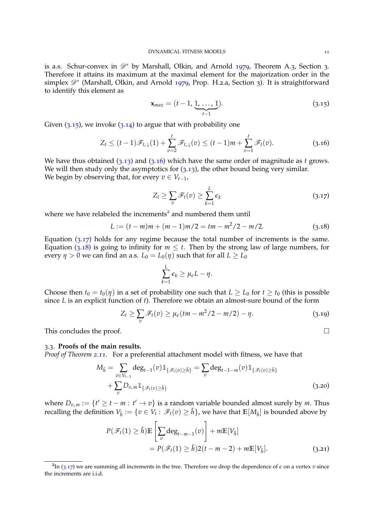is a.s. Schur-convex in  $\mathscr{D}^*$  by Marshall, Olkin, and Arnold [1979](#page-20-14), Theorem A.3, Section 3. Therefore it attains its maximum at the maximal element for the majorization order in the simplex  $\mathscr{D}^*$  (Marshall, Olkin, and Arnold [1979](#page-20-14), Prop. H.2.a, Section 3). It is straightforward to identify this element as

<span id="page-10-0"></span>
$$
\mathbf{x}_{max} = (t-1, \underbrace{1, \ldots, 1}_{t-1}).
$$
\n(3.15)

Given  $(3.15)$  $(3.15)$  $(3.15)$ , we invoke  $(3.14)$  $(3.14)$  $(3.14)$  to argue that with probability one

<span id="page-10-1"></span>
$$
Z_t \le (t-1)\mathscr{F}_{t,\downarrow}(1) + \sum_{v=2}^t \mathscr{F}_{t,\downarrow}(v) \le (t-1)m + \sum_{v=1}^t \mathscr{F}_t(v). \tag{3.16}
$$

We have thus obtained (3.[13](#page-9-3)) and (3.[16](#page-10-1)) which have the same order of magnitude as *t* grows. We will then study only the asymptotics for  $(3.13)$  $(3.13)$  $(3.13)$ , the other bound being very similar. We begin by observing that, for every  $v \in V_{t-1}$ ,

<span id="page-10-3"></span>
$$
Z_t \geq \sum_v \mathscr{F}_t(v) \geq \sum_{k=1}^L \epsilon_k \tag{3.17}
$$

where we have relabeled the increments<sup>[2](#page-10-2)</sup> and numbered them until

<span id="page-10-4"></span>
$$
L := (t - m)m + (m - 1)m/2 = tm - m2/2 - m/2.
$$
 (3.18)

Equation  $(3.17)$  $(3.17)$  $(3.17)$  holds for any regime because the total number of increments is the same. Equation (3.[18](#page-10-4)) is going to infinity for  $m \leq t$ . Then by the strong law of large numbers, for every  $\eta > 0$  we can find an a.s.  $L_0 = L_0(\eta)$  such that for all  $L \ge L_0$ 

<span id="page-10-6"></span>
$$
\sum_{k=1}^L \epsilon_k \geq \mu_{\epsilon} L - \eta.
$$

Choose then  $t_0 = t_0(\eta)$  in a set of probability one such that  $L \ge L_0$  for  $t \ge t_0$  (this is possible since *L* is an explicit function of *t*). Therefore we obtain an almost-sure bound of the form

$$
Z_t \ge \sum_v \mathscr{F}_t(v) \ge \mu_\epsilon(t m - m^2/2 - m/2) - \eta. \tag{3.19}
$$

This concludes the proof.  $\Box$ 

#### 3.3. **Proofs of the main results.**

*Proof of Theorem 2.[11](#page-5-4).* For a preferential attachment model with fitness, we have that

$$
M_{\tilde{h}} = \sum_{v \in V_{t-1}} \deg_{t-1}(v) 1\!\!1_{\{\mathscr{F}_t(v) \ge \tilde{h}\}} = \sum_v \deg_{t-1-m}(v) 1\!\!1_{\{\mathscr{F}_t(v) \ge \tilde{h}\}} + \sum_v D_{v,m} 1\!\!1_{\{\mathscr{F}_t(v) \ge \tilde{h}\}} \tag{3.20}
$$

where  $D_{v,m} := \{t' \geq t - m : t' \to v\}$  is a random variable bounded almost surely by m. Thus recalling the definition  $V_{\tilde{h}} := \{v \in V_t : \mathscr{F}_t(v) \geq \tilde{h}\}$ , we have that  $\mathbb{E}[M_{\tilde{h}}]$  is bounded above by

<span id="page-10-5"></span>
$$
P(\mathcal{F}_t(1) \ge \tilde{h}) \mathbb{E}\left[\sum_v \deg_{t-m-1}(v)\right] + m \mathbb{E}[V_{\tilde{h}}]
$$
  
=  $P(\mathcal{F}_t(1) \ge \tilde{h})2(t-m-2) + m \mathbb{E}[V_{\tilde{h}}].$  (3.21)

<span id="page-10-2"></span> $\overline{P_{2n}(3.17)}$  $\overline{P_{2n}(3.17)}$  $\overline{P_{2n}(3.17)}$  we are summing all increments in the tree. Therefore we drop the dependence of  $\epsilon$  on a vertex *v* since the increments are i.i.d.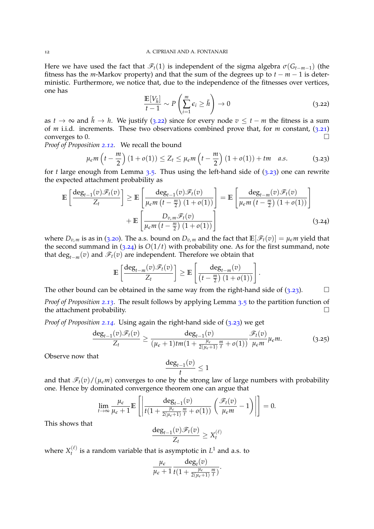Here we have used the fact that  $\mathcal{F}_t(1)$  is independent of the sigma algebra  $\sigma(G_{t-m-1})$  (the fitness has the *m*-Markov property) and that the sum of the degrees up to  $t - m - 1$  is deterministic. Furthermore, we notice that, due to the independence of the fitnesses over vertices, one has

<span id="page-11-0"></span>
$$
\frac{\mathbb{E}[V_{\tilde{h}}]}{t-1} \sim P\left(\sum_{i=1}^{m} \epsilon_i \ge \tilde{h}\right) \to 0 \tag{3.22}
$$

<span id="page-11-2"></span>.

as *t* → ∞ and  $\tilde{h}$  → *h*. We justify (3.[22](#page-11-0)) since for every node  $v \le t - m$  the fitness is a sum of *m* i.i.d. increments. These two observations combined prove that, for *m* constant, (3.[21](#page-10-5)) converges to 0.

*Proof of Proposition 2.[12](#page-6-1).* We recall the bound

<span id="page-11-1"></span>
$$
\mu_{\epsilon} m\left(t - \frac{m}{2}\right) (1 + o(1)) \le Z_t \le \mu_{\epsilon} m\left(t - \frac{m}{2}\right) (1 + o(1)) + tm \quad a.s. \tag{3.23}
$$

for *t* large enough from Lemma  $3.5$  $3.5$ . Thus using the left-hand side of  $(3.23)$  $(3.23)$  $(3.23)$  one can rewrite the expected attachment probability as

$$
\mathbb{E}\left[\frac{\deg_{t-1}(v)\mathscr{F}_t(v)}{Z_t}\right] \geq \mathbb{E}\left[\frac{\deg_{t-1}(v)\mathscr{F}_t(v)}{\mu_{\epsilon m}\left(t-\frac{m}{2}\right)(1+o(1))}\right] = \mathbb{E}\left[\frac{\deg_{t-m}(v)\mathscr{F}_t(v)}{\mu_{\epsilon m}\left(t-\frac{m}{2}\right)(1+o(1))}\right] + \mathbb{E}\left[\frac{D_{v,m}\mathscr{F}_t(v)}{\mu_{\epsilon m}\left(t-\frac{m}{2}\right)(1+o(1))}\right]
$$
(3.24)

where  $D_{v,m}$  is as in (3.[20](#page-10-6)). The a.s. bound on  $D_{v,m}$  and the fact that  $\mathbb{E}[\mathscr{F}_t(v)] = \mu_e m$  yield that the second summand in  $(3.24)$  $(3.24)$  $(3.24)$  is  $O(1/t)$  with probability one. As for the first summand, note that  $\deg_{t-m}(v)$  and  $\mathscr{F}_t(v)$  are independent. Therefore we obtain that

$$
\mathbb{E}\left[\frac{\deg_{t-m}(v)\mathscr{F}_t(v)}{Z_t}\right] \geq \mathbb{E}\left[\frac{\deg_{t-m}(v)}{\left(t-\frac{m}{2}\right)\left(1+o(1)\right)}\right]
$$

The other bound can be obtained in the same way from the right-hand side of  $(3.23)$  $(3.23)$  $(3.23)$ .

*Proof of Proposition 2.[13](#page-6-3).* The result follows by applying Lemma [3](#page-9-4).5 to the partition function of the attachment probability.

*Proof of Proposition 2.[14](#page-6-4).* Using again the right-hand side of (3.[23](#page-11-1)) we get

$$
\frac{\deg_{t-1}(v)\mathscr{F}_t(v)}{Z_t} \ge \frac{\deg_{t-1}(v)}{(\mu_{\epsilon}+1)tm(1+\frac{\mu_{\epsilon}}{2(\mu_{\epsilon}+1)}\frac{m}{t}+o(1))}\frac{\mathscr{F}_t(v)}{\mu_{\epsilon}m}\mu_{\epsilon}m.
$$
\n(3.25)

Observe now that

$$
\frac{\deg_{t-1}(v)}{t} \leq 1
$$

and that  $\mathcal{F}_t(v)/(u_\epsilon m)$  converges to one by the strong law of large numbers with probability one. Hence by dominated convergence theorem one can argue that

$$
\lim_{t\to\infty}\frac{\mu_{\epsilon}}{\mu_{\epsilon}+1}\mathbb{E}\left[\left|\frac{\deg_{t-1}(v)}{t(1+\frac{\mu_{\epsilon}}{2(\mu_{\epsilon}+1)}\frac{m}{t}+o(1))}\left(\frac{\mathscr{F}_{t}(v)}{\mu_{\epsilon}m}-1\right)\right|\right]=0.
$$

This shows that

$$
\frac{\deg_{t-1}(v)\mathscr{F}_t(v)}{Z_t} \geq X_t^{(\ell)}
$$

where  $X_t^{(\ell)}$  $t_t^{(\ell)}$  is a random variable that is asymptotic in  $L^1$  and a.s. to

$$
\frac{\mu_{\epsilon}}{\mu_{\epsilon}+1} \frac{\deg_t(v)}{t(1+\frac{\mu_{\epsilon}}{2(\mu_{\epsilon}+1)}\frac{m}{t})}.
$$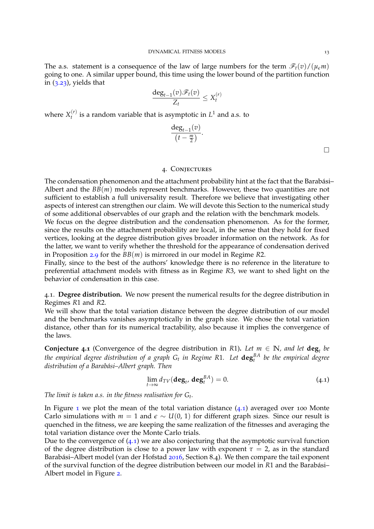The a.s. statement is a consequence of the law of large numbers for the term  $\mathcal{F}_t(v)/(\mu_{\epsilon} m)$ going to one. A similar upper bound, this time using the lower bound of the partition function in (3.[23](#page-11-1)), yields that

$$
\frac{\deg_{t-1}(v)\mathscr{F}_t(v)}{Z_t} \leq X_t^{(r)}
$$

where  $X_t^{(r)}$  $t_t^{(r)}$  is a random variable that is asymptotic in  $L^1$  and a.s. to

$$
\frac{\deg_{t-1}(v)}{(t-\frac{m}{2})}.
$$

 $\Box$ 

## 4. Conjectures

<span id="page-12-0"></span>The condensation phenomenon and the attachment probability hint at the fact that the Barabási-Albert and the *BB*(*m*) models represent benchmarks. However, these two quantities are not sufficient to establish a full universality result. Therefore we believe that investigating other aspects of interest can strengthen our claim. We will devote this Section to the numerical study of some additional observables of our graph and the relation with the benchmark models. We focus on the degree distribution and the condensation phenomenon. As for the former, since the results on the attachment probability are local, in the sense that they hold for fixed vertices, looking at the degree distribution gives broader information on the network. As for the latter, we want to verify whether the threshold for the appearance of condensation derived in Proposition [2](#page-5-3).9 for the *BB*(*m*) is mirrored in our model in Regime *R*2.

Finally, since to the best of the authors' knowledge there is no reference in the literature to preferential attachment models with fitness as in Regime *R*3, we want to shed light on the behavior of condensation in this case.

4.1. **Degree distribution.** We now present the numerical results for the degree distribution in Regimes *R*1 and *R*2.

We will show that the total variation distance between the degree distribution of our model and the benchmarks vanishes asymptotically in the graph size. We chose the total variation distance, other than for its numerical tractability, also because it implies the convergence of the laws.

**Conjecture** 4.1 (Convergence of the degree distribution in *R*1). Let  $m \in \mathbb{N}$ *, and let*  $\deg_t$  be *the empirical degree distribution of a graph G<sup>t</sup> in Regime R*1*. Let* **deg***BA t be the empirical degree distribution of a Barabasi–Albert graph. Then ´*

<span id="page-12-1"></span>
$$
\lim_{t \to \infty} d_{TV}(\deg_t, \deg_t^{BA}) = 0. \tag{4.1}
$$

*The limit is taken a.s. in the fitness realisation for G<sup>t</sup> .*

In Figure [1](#page-13-0) we plot the mean of the total variation distance  $(4.1)$  $(4.1)$  $(4.1)$  averaged over 100 Monte Carlo simulations with  $m = 1$  and  $\epsilon \sim U(0, 1)$  for different graph sizes. Since our result is quenched in the fitness, we are keeping the same realization of the fitnesses and averaging the total variation distance over the Monte Carlo trials.

Due to the convergence of  $(4.1)$  $(4.1)$  $(4.1)$  we are also conjecturing that the asymptotic survival function of the degree distribution is close to a power law with exponent  $\tau = 2$ , as in the standard Barabási–Albert model (van der Hofstad [2016](#page-21-0), Section 8.4). We then compare the tail exponent of the survival function of the degree distribution between our model in *R*1 and the Barabasi– ´ Albert model in Figure [2](#page-13-1).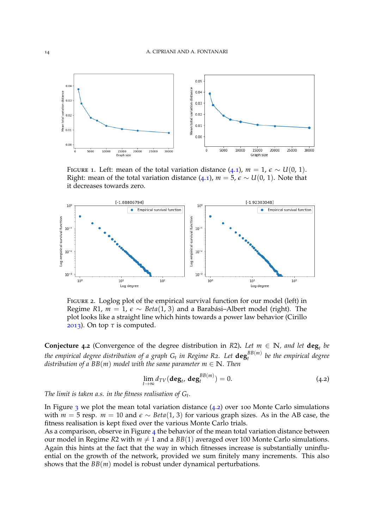

<span id="page-13-0"></span>FIGURE 1. Left: mean of the total variation distance  $(4.1)$  $(4.1)$  $(4.1)$ ,  $m = 1$ ,  $\epsilon \sim U(0, 1)$ . Right: mean of the total variation distance  $(4.1)$  $(4.1)$  $(4.1)$ ,  $m = 5$ ,  $\varepsilon \sim U(0, 1)$ . Note that it decreases towards zero.



<span id="page-13-1"></span>FIGURE 2. Loglog plot of the empirical survival function for our model (left) in Regime *R*1,  $m = 1$ ,  $\epsilon \sim Beta(1, 3)$  and a Barabási–Albert model (right). The plot looks like a straight line which hints towards a power law behavior (Cirillo [2013](#page-20-20)). On top  $\tau$  is computed.

<span id="page-13-3"></span>**Conjecture** 4.2 (Convergence of the degree distribution in *R2*). Let  $m \in \mathbb{N}$ , and let  $\deg_t$  be *the empirical degree distribution of a graph G<sup>t</sup> in Regime R2. Let* **deg***BB*(*m*) *t be the empirical degree distribution of a BB*(*m*) *model with the same parameter m*  $\in$  **N***. Then* 

<span id="page-13-2"></span>
$$
\lim_{t \to \infty} d_{TV}(\deg_t, \deg_t^{BB(m)}) = 0. \tag{4.2}
$$

*The limit is taken a.s. in the fitness realisation of G<sup>t</sup> .*

In Figure  $\frac{3}{3}$  $\frac{3}{3}$  $\frac{3}{3}$  we plot the mean total variation distance ([4](#page-13-2).2) over 100 Monte Carlo simulations with  $m = 5$  resp.  $m = 10$  and  $\epsilon \sim Beta(1, 3)$  for various graph sizes. As in the AB case, the fitness realisation is kept fixed over the various Monte Carlo trials.

<span id="page-13-4"></span>As a comparison, observe in Figure  $4$  the behavior of the mean total variation distance between our model in Regime *R*2 with  $m \neq 1$  and a *BB*(1) averaged over 100 Monte Carlo simulations. Again this hints at the fact that the way in which fitnesses increase is substantially uninfluential on the growth of the network, provided we sum finitely many increments. This also shows that the *BB*(*m*) model is robust under dynamical perturbations.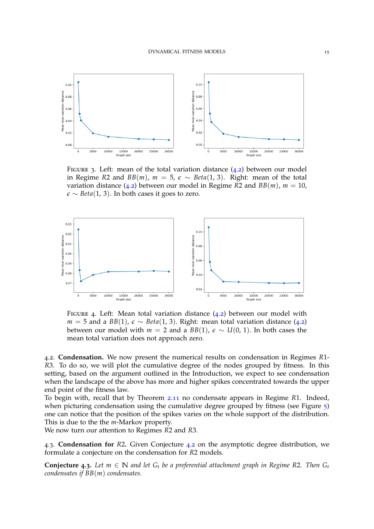

<span id="page-14-0"></span>FIGURE 3. Left: mean of the total variation distance  $(4.2)$  $(4.2)$  $(4.2)$  between our model in Regime *R*2 and *BB*(*m*),  $m = 5$ ,  $\epsilon \sim Beta(1, 3)$ . Right: mean of the total variation distance ([4](#page-13-2).2) between our model in Regime *R*2 and *BB*(*m*),  $m = 10$ ,  $\epsilon \sim Beta(1, 3)$ . In both cases it goes to zero.



<span id="page-14-1"></span>FIGURE [4](#page-13-2). Left: Mean total variation distance  $(4.2)$  between our model with *m* = 5 and a *BB*(1),  $\epsilon \sim Beta(1, 3)$ . Right: mean total variation distance ([4](#page-13-2).2) between our model with  $m = 2$  and a  $BB(1)$ ,  $\epsilon \sim U(0, 1)$ . In both cases the mean total variation does not approach zero.

4.2. **Condensation.** We now present the numerical results on condensation in Regimes *R*1- *R*3. To do so, we will plot the cumulative degree of the nodes grouped by fitness. In this setting, based on the argument outlined in the Introduction, we expect to see condensation when the landscape of the above has more and higher spikes concentrated towards the upper end point of the fitness law.

To begin with, recall that by Theorem 2.[11](#page-5-4) no condensate appears in Regime *R*1. Indeed, when picturing condensation using the cumulative degree grouped by fitness (see Figure  $\frac{1}{2}$ ) one can notice that the position of the spikes varies on the whole support of the distribution. This is due to the the *m*-Markov property.

We now turn our attention to Regimes *R*2 and *R*3.

4.3. **Condensation for** *R*2**.** Given Conjecture [4](#page-13-3).2 on the asymptotic degree distribution, we formulate a conjecture on the condensation for *R*2 models.

**Conjecture** 4.3. Let  $m \in \mathbb{N}$  and let  $G_t$  be a preferential attachment graph in Regime R2. Then  $G_t$ *condensates if BB*(*m*) *condensates.*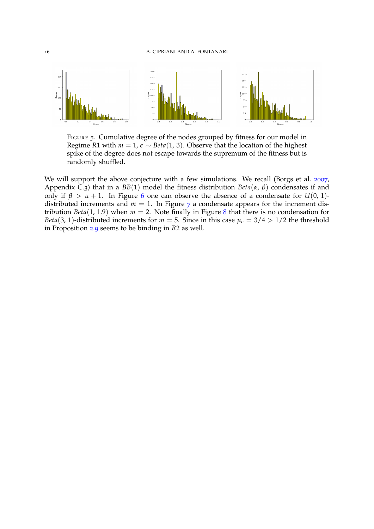

<span id="page-15-0"></span>FIGURE 5. Cumulative degree of the nodes grouped by fitness for our model in Regime *R*1 with  $m = 1$ ,  $\epsilon \sim Beta(1, 3)$ . Observe that the location of the highest spike of the degree does not escape towards the supremum of the fitness but is randomly shuffled.

We will support the above conjecture with a few simulations. We recall (Borgs et al. [2007](#page-20-3), Appendix C.3) that in a *BB*(1) model the fitness distribution *Beta*(*α*, *β*) condensates if and only if  $\beta > \alpha + 1$ . In Figure [6](#page-16-0) one can observe the absence of a condensate for *U*(0, 1)distributed increments and  $m = 1$ . In Figure [7](#page-16-1) a condensate appears for the increment distribution *Beta*(1, 1.9) when  $m = 2$ . Note finally in Figure [8](#page-16-2) that there is no condensation for *Beta*(3, 1)-distributed increments for  $m = 5$ . Since in this case  $\mu_{\epsilon} = 3/4 > 1/2$  the threshold in Proposition [2](#page-5-3).9 seems to be binding in *R*2 as well.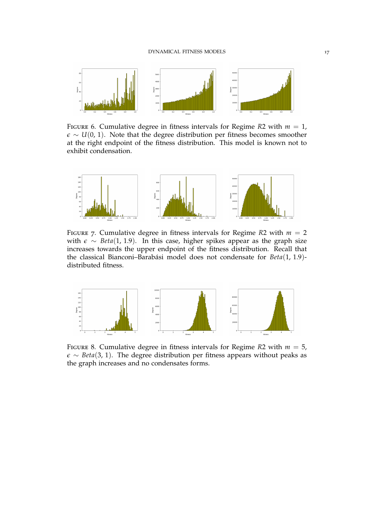

<span id="page-16-0"></span>FIGURE 6. Cumulative degree in fitness intervals for Regime  $R2$  with  $m = 1$ ,  $\epsilon \sim U(0, 1)$ . Note that the degree distribution per fitness becomes smoother at the right endpoint of the fitness distribution. This model is known not to exhibit condensation.



<span id="page-16-1"></span>FIGURE 7. Cumulative degree in fitness intervals for Regime  $R2$  with  $m = 2$ with *e* ∼ *Beta*(1, 1.9). In this case, higher spikes appear as the graph size increases towards the upper endpoint of the fitness distribution. Recall that the classical Bianconi-Barabási model does not condensate for  $Beta(1, 1.9)$ distributed fitness.



<span id="page-16-2"></span>FIGURE 8. Cumulative degree in fitness intervals for Regime  $R2$  with  $m = 5$ , *e* ∼ *Beta*(3, 1). The degree distribution per fitness appears without peaks as the graph increases and no condensates forms.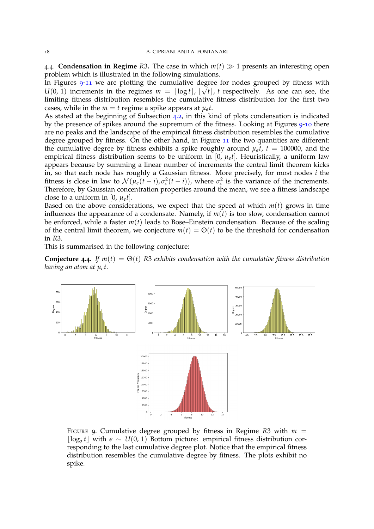4.4. **Condensation in Regime** *R*3. The case in which  $m(t) \gg 1$  presents an interesting open problem which is illustrated in the following simulations.

In Figures [9](#page-17-0)-[11](#page-18-0) we are plotting the cumulative degree for nodes grouped by fitness with  $\sqrt{6}$  $U(0, 1)$  increments in the regimes  $m = \lfloor \log t \rfloor$ ,  $\lfloor \sqrt{t} \rfloor$ , t respectively. As one can see, the limiting fitness distribution resembles the cumulative fitness distribution for the first two cases, while in the  $m = t$  regime a spike appears at  $\mu_{\epsilon}t$ .

As stated at the beginning of Subsection [4](#page-13-4).2, in this kind of plots condensation is indicated by the presence of spikes around the supremum of the fitness. Looking at Figures [9](#page-17-0)-[10](#page-18-1) there are no peaks and the landscape of the empirical fitness distribution resembles the cumulative degree grouped by fitness. On the other hand, in Figure [11](#page-18-0) the two quantities are different: the cumulative degree by fitness exhibits a spike roughly around  $\mu_{\epsilon}t$ ,  $t = 100000$ , and the empirical fitness distribution seems to be uniform in [0,  $\mu_{\epsilon}t$ ]. Heuristically, a uniform law appears because by summing a linear number of increments the central limit theorem kicks in, so that each node has roughly a Gaussian fitness. More precisely, for most nodes *i* the fitness is close in law to  $\mathcal{N}(\mu_{\epsilon}(t-i), \sigma_{\epsilon}^2(t-i))$ , where  $\sigma_{\epsilon}^2$  is the variance of the increments. Therefore, by Gaussian concentration properties around the mean, we see a fitness landscape close to a uniform in  $[0, \mu<sub>\epsilon</sub> t]$ .

Based on the above considerations, we expect that the speed at which  $m(t)$  grows in time influences the appearance of a condensate. Namely, if  $m(t)$  is too slow, condensation cannot be enforced, while a faster *m*(*t*) leads to Bose–Einstein condensation. Because of the scaling of the central limit theorem, we conjecture  $m(t) = \Theta(t)$  to be the threshold for condensation in *R*3.

This is summarised in the following conjecture:

**Conjecture** 4.4. If  $m(t) = \Theta(t)$  R3 exhibits condensation with the cumulative fitness distribution *having an atom at µet*.



<span id="page-17-0"></span>FIGURE 9. Cumulative degree grouped by fitness in Regime  $R3$  with  $m =$  $\lfloor log_2 t \rfloor$  with *ε* ∼ *U*(0, 1) Bottom picture: empirical fitness distribution corresponding to the last cumulative degree plot. Notice that the empirical fitness distribution resembles the cumulative degree by fitness. The plots exhibit no spike.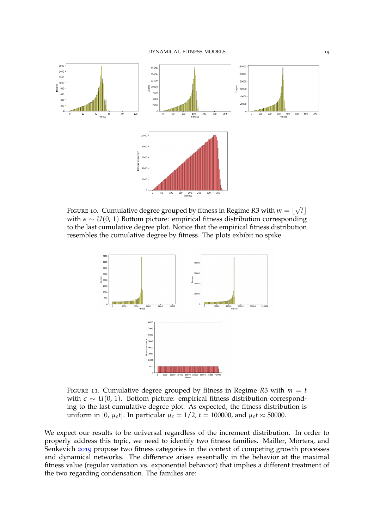

<span id="page-18-1"></span>FIGURE 10. Cumulative degree grouped by fitness in Regime R3 with  $m = \lfloor \sqrt{2} \rfloor$  $[t]$ with  $\epsilon \sim U(0, 1)$  Bottom picture: empirical fitness distribution corresponding to the last cumulative degree plot. Notice that the empirical fitness distribution resembles the cumulative degree by fitness. The plots exhibit no spike.



<span id="page-18-0"></span>FIGURE 11. Cumulative degree grouped by fitness in Regime *R*3 with  $m = t$ with *ε* ∼ *U*(0, 1). Bottom picture: empirical fitness distribution corresponding to the last cumulative degree plot. As expected, the fitness distribution is uniform in [0,  $\mu_{\epsilon}t$ ]. In particular  $\mu_{\epsilon} = 1/2$ ,  $t = 100000$ , and  $\mu_{\epsilon}t \approx 50000$ .

We expect our results to be universal regardless of the increment distribution. In order to properly address this topic, we need to identify two fitness families. Mailler, Mörters, and Senkevich [2019](#page-20-21) propose two fitness categories in the context of competing growth processes and dynamical networks. The difference arises essentially in the behavior at the maximal fitness value (regular variation vs. exponential behavior) that implies a different treatment of the two regarding condensation. The families are: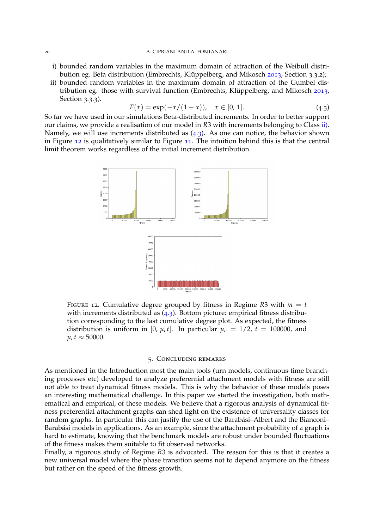- i) bounded random variables in the maximum domain of attraction of the Weibull distri-bution eg. Beta distribution (Embrechts, Klüppelberg, and Mikosch [2013](#page-20-22), Section 3.3.2);
- <span id="page-19-1"></span>ii) bounded random variables in the maximum domain of attraction of the Gumbel dis-tribution eg. those with survival function (Embrechts, Klüppelberg, and Mikosch [2013](#page-20-22), Section 3.3.3).

<span id="page-19-2"></span>
$$
\overline{F}(x) = \exp(-x/(1-x)), \quad x \in [0, 1].
$$
 (4.3)

So far we have used in our simulations Beta-distributed increments. In order to better support our claims, we provide a realisation of our model in *R*3 with increments belonging to Class [ii\).](#page-19-1) Namely, we will use increments distributed as ([4](#page-19-2).3). As one can notice, the behavior shown in Figure [12](#page-19-3) is qualitatively similar to Figure [11](#page-18-0). The intuition behind this is that the central limit theorem works regardless of the initial increment distribution.



<span id="page-19-3"></span>FIGURE 12. Cumulative degree grouped by fitness in Regime  $R3$  with  $m = t$ with increments distributed as  $(4.3)$  $(4.3)$  $(4.3)$ . Bottom picture: empirical fitness distribution corresponding to the last cumulative degree plot. As expected, the fitness distribution is uniform in [0,  $\mu_{\epsilon}t$ ]. In particular  $\mu_{\epsilon} = 1/2$ ,  $t = 100000$ , and  $\mu_{\epsilon}t \approx 50000.$ 

## 5. Concluding remarks

<span id="page-19-0"></span>As mentioned in the Introduction most the main tools (urn models, continuous-time branching processes etc) developed to analyze preferential attachment models with fitness are still not able to treat dynamical fitness models. This is why the behavior of these models poses an interesting mathematical challenge. In this paper we started the investigation, both mathematical and empirical, of these models. We believe that a rigorous analysis of dynamical fitness preferential attachment graphs can shed light on the existence of universality classes for random graphs. In particular this can justify the use of the Barabási-Albert and the Bianconi-Barabási models in applications. As an example, since the attachment probability of a graph is hard to estimate, knowing that the benchmark models are robust under bounded fluctuations of the fitness makes them suitable to fit observed networks.

Finally, a rigorous study of Regime *R*3 is advocated. The reason for this is that it creates a new universal model where the phase transition seems not to depend anymore on the fitness but rather on the speed of the fitness growth.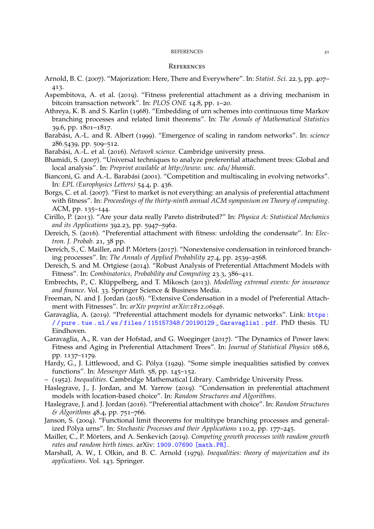## REFERENCES 21

#### **REFERENCES**

- <span id="page-20-12"></span>Arnold, B. C. (2007). "Majorization: Here, There and Everywhere". In: *Statist. Sci.* 22.3, pp. 407– 413.
- <span id="page-20-10"></span>Aspembitova, A. et al. (2019). "Fitness preferential attachment as a driving mechanism in bitcoin transaction network". In: *PLOS ONE* 14.8, pp. 1–20.
- <span id="page-20-15"></span>Athreya, K. B. and S. Karlin (1968). "Embedding of urn schemes into continuous time Markov branching processes and related limit theorems". In: *The Annals of Mathematical Statistics* 39.6, pp. 1801–1817.
- <span id="page-20-0"></span>Barabási, A.-L. and R. Albert (1999). "Emergence of scaling in random networks". In: *science* 286.5439, pp. 509–512.
- <span id="page-20-2"></span>Barabási, A.-L. et al. (2016). *Network science*. Cambridge university press.
- <span id="page-20-16"></span>Bhamidi, S. (2007). "Universal techniques to analyze preferential attachment trees: Global and local analysis". In: *Preprint available at http://www. unc. edu/ bhamidi*.
- <span id="page-20-1"></span>Bianconi, G. and A.-L. Barabási (2001). "Competition and multiscaling in evolving networks". In: *EPL (Europhysics Letters)* 54.4, p. 436.
- <span id="page-20-3"></span>Borgs, C. et al. (2007). "First to market is not everything: an analysis of preferential attachment with fitness". In: *Proceedings of the thirty-ninth annual ACM symposium on Theory of computing*. ACM, pp. 135–144.
- <span id="page-20-20"></span>Cirillo, P. (2013). "Are your data really Pareto distributed?" In: *Physica A: Statistical Mechanics and its Applications* 392.23, pp. 5947–5962.
- <span id="page-20-4"></span>Dereich, S. (2016). "Preferential attachment with fitness: unfolding the condensate". In: *Electron. J. Probab.* 21, 38 pp.
- <span id="page-20-5"></span>Dereich, S., C. Mailler, and P. Mörters (2017). "Nonextensive condensation in reinforced branching processes". In: *The Annals of Applied Probability* 27.4, pp. 2539–2568.
- <span id="page-20-6"></span>Dereich, S. and M. Ortgiese (2014). "Robust Analysis of Preferential Attachment Models with Fitness". In: *Combinatorics, Probability and Computing* 23.3, 386–411.
- <span id="page-20-22"></span>Embrechts, P., C. Klüppelberg, and T. Mikosch (2013). *Modelling extremal events: for insurance and finance*. Vol. 33. Springer Science & Business Media.
- <span id="page-20-18"></span>Freeman, N. and J. Jordan (2018). "Extensive Condensation in a model of Preferential Attachment with Fitnesses". In: *arXiv preprint arXiv:1812.06946*.
- <span id="page-20-7"></span>Garavaglia, A. (2019). "Preferential attachment models for dynamic networks". Link: [https:](https://pure.tue.nl/ws/files/115157348/20190129_Garavaglia1.pdf) [/ / pure . tue . nl / ws / files / 115157348 / 20190129 \\_ Garavaglia1 . pdf](https://pure.tue.nl/ws/files/115157348/20190129_Garavaglia1.pdf). PhD thesis. TU Eindhoven.
- <span id="page-20-11"></span>Garavaglia, A., R. van der Hofstad, and G. Woeginger (2017). "The Dynamics of Power laws: Fitness and Aging in Preferential Attachment Trees". In: *Journal of Statistical Physics* 168.6, pp. 1137–1179.
- <span id="page-20-13"></span>Hardy, G., J. Littlewood, and G. Pólya (1929). "Some simple inequalities satisfied by convex functions". In: *Messenger Math.* 58, pp. 145–152.
- <span id="page-20-19"></span>– (1952). *Inequalities*. Cambridge Mathematical Library. Cambridge University Press.
- <span id="page-20-8"></span>Haslegrave, J., J. Jordan, and M. Yarrow (2019). "Condensation in preferential attachment models with location-based choice". In: *Random Structures and Algorithms*.
- <span id="page-20-9"></span>Haslegrave, J. and J. Jordan (2016). "Preferential attachment with choice". In: *Random Structures & Algorithms* 48.4, pp. 751–766.
- <span id="page-20-17"></span>Janson, S. (2004). "Functional limit theorems for multitype branching processes and generalized Pólya urns". In: *Stochastic Processes and their Applications* 110.2, pp. 177–245.
- <span id="page-20-21"></span>Mailler, C., P. Mörters, and A. Senkevich (2019). *Competing growth processes with random growth rates and random birth times*. arXiv: [1909.07690 \[math.PR\]](http://arxiv.org/abs/1909.07690).
- <span id="page-20-14"></span>Marshall, A. W., I. Olkin, and B. C. Arnold (1979). *Inequalities: theory of majorization and its applications*. Vol. 143. Springer.